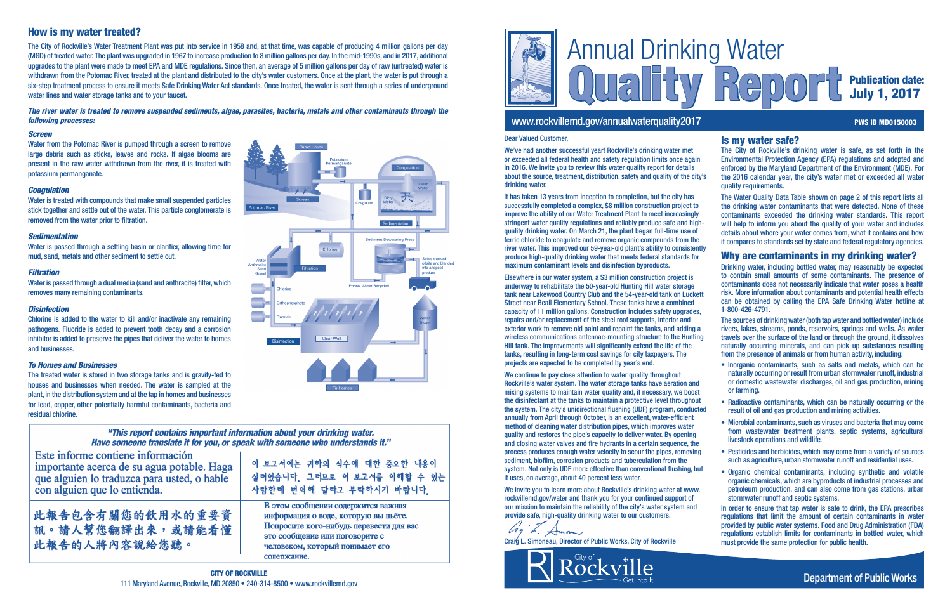

# www.rockvillemd.gov/annualwaterquality2017 PWS ID MD0150003

# Report Publication date: July 1, 2017

|                                 | <b>Is my water safe?</b>                                                                                                                                                                                                                                                                                                                                                                                                               |
|---------------------------------|----------------------------------------------------------------------------------------------------------------------------------------------------------------------------------------------------------------------------------------------------------------------------------------------------------------------------------------------------------------------------------------------------------------------------------------|
| 'n                              | The City of Rockville's drinking water is safe, as set forth in the<br>Environmental Protection Agency (EPA) regulations and adopted and<br>enforced by the Maryland Department of the Environment (MDE). For                                                                                                                                                                                                                          |
| ty's                            | the 2016 calendar year, the city's water met or exceeded all water<br>quality requirements.                                                                                                                                                                                                                                                                                                                                            |
| D<br>ý<br>зh-<br>f<br>e<br>ntly | The Water Quality Data Table shown on page 2 of this report lists all<br>the drinking water contaminants that were detected. None of these<br>contaminants exceeded the drinking water standards. This report<br>will help to inform you about the quality of your water and includes<br>details about where your water comes from, what it contains and how<br>it compares to standards set by state and federal regulatory agencies. |
| r                               | Why are contaminants in my drinking water?                                                                                                                                                                                                                                                                                                                                                                                             |
|                                 | Drinking water, including bottled water, may reasonably be expected<br>to contain small amounts of some contaminants. The presence of<br>contaminants does not necessarily indicate that water poses a health<br>risk. More information about contaminants and potential health effects                                                                                                                                                |
| ett<br>S,                       | can be obtained by calling the EPA Safe Drinking Water hotline at<br>1-800-426-4791.                                                                                                                                                                                                                                                                                                                                                   |
| a<br>ng                         | The sources of drinking water (both tap water and bottled water) include<br>rivers, lakes, streams, ponds, reservoirs, springs and wells. As water<br>travels over the surface of the land or through the ground, it dissolves<br>naturally occurring minerals, and can pick up substances resulting<br>from the presence of animals or from human activity, including:                                                                |
| d<br>st                         | • Inorganic contaminants, such as salts and metals, which can be<br>naturally occurring or result from urban stormwater runoff, industrial<br>or domestic wastewater discharges, oil and gas production, mining<br>or farming.                                                                                                                                                                                                         |
| ut<br>ted:                      | • Radioactive contaminants, which can be naturally occurring or the<br>result of oil and gas production and mining activities.                                                                                                                                                                                                                                                                                                         |
| е                               | • Microbial contaminants, such as viruses and bacteria that may come<br>from wastewater treatment plants, septic systems, agricultural<br>livestock operations and wildlife.                                                                                                                                                                                                                                                           |
| ıg                              | • Pesticides and herbicides, which may come from a variety of sources<br>such as agriculture, urban stormwater runoff and residential uses.                                                                                                                                                                                                                                                                                            |
| шt<br>v.                        | • Organic chemical contaminants, including synthetic and volatile<br>organic chemicals, which are byproducts of industrial processes and<br>petroleum production, and can also come from gas stations, urban<br>stormwater runoff and septic systems.                                                                                                                                                                                  |
|                                 | In order to ensure that tap water is safe to drink, the EPA prescribes<br>regulations that limit the amount of certain contaminants in water<br>provided by public water systems. Food and Drug Administration (FDA)<br>regulations establish limits for contaminants in bottled water, which                                                                                                                                          |

must provide the same protection for public health.

#### *Screen*

Water from the Potomac River is pumped through a screen to remove large debris such as sticks, leaves and rocks. If algae blooms are present in the raw water withdrawn from the river, it is treated with potassium permanganate.

#### *Coagulation*

Water is treated with compounds that make small suspended particles stick together and settle out of the water. This particle conglomerate is removed from the water prior to filtration.

#### *Sedimentation*

Water is passed through a settling basin or clarifier, allowing time for mud, sand, metals and other sediment to settle out.

#### *Filtration*

Water is passed through a dual media (sand and anthracite) filter, which removes many remaining contaminants.

#### *Disinfection*

Chlorine is added to the water to kill and/or inactivate any remaining pathogens. Fluoride is added to prevent tooth decay and a corrosion inhibitor is added to preserve the pipes that deliver the water to homes and businesses.

#### *To Homes and Businesses*

We invite you to learn more about Rockville's drinking water at www. rockvillemd.gov/water and thank you for your continued support of our mission to maintain the reliability of the city's water system and provide safe, high-quality drinking water to our customers.

The treated water is stored in two storage tanks and is gravity-fed to houses and businesses when needed. The water is sampled at the plant, in the distribution system and at the tap in homes and businesses for lead, copper, other potentially harmful contaminants, bacteria and residual chlorine.

### "This report contains important information about your drinking water. Have someone translate it for you, or speak with someone who understands it."

Este informe contiene información importante acerca de su agua potable. Haga que alguien lo traduzca para usted, o hable con alguien que lo entienda.

此報告包含有關您的飲用水的重要資 訊。請人幫您翻譯出來,或請能看懂 此報告的人將內容說給您聽。

이 보고서에는 귀하의 식수에 대한 중요한 내용이 실려있습니다 그러므로 이 보고서를 이해할 수 있는 사람한테 번역해 달라고 부탁하시기 바랍니다.

В этом сообщении содержится важная информация о воде, которую вы пьёте. Попросите кого-нибудь перевести для вас это сообщение или поговорите с человеком, который понимает его сопержание.

# How is my water treated?

The City of Rockville's Water Treatment Plant was put into service in 1958 and, at that time, was capable of producing 4 million gallons per day (MGD) of treated water. The plant was upgraded in 1967 to increase production to 8 million gallons per day. In the mid-1990s, and in 2017, additional upgrades to the plant were made to meet EPA and MDE regulations. Since then, an average of 5 million gallons per day of raw (untreated) water is withdrawn from the Potomac River, treated at the plant and distributed to the city's water customers. Once at the plant, the water is put through a six-step treatment process to ensure it meets Safe Drinking Water Act standards. Once treated, the water is sent through a series of underground water lines and water storage tanks and to your faucet.

#### *The river water is treated to remove suspended sediments, algae, parasites, bacteria, metals and other contaminants through the following processes:*

#### Dear Valued Customer,

We've had another successful year! Rockville's drinking water met or exceeded all federal health and safety regulation limits once again in 2016. We invite you to review this water quality report for details about the source, treatment, distribution, safety and quality of the cit drinking water.



It has taken 13 years from inception to completion, but the city has successfully completed a complex, \$8 million construction project to improve the ability of our Water Treatment Plant to meet increasingly stringent water quality regulations and reliably produce safe and highquality drinking water. On March 21, the plant began full-time use of ferric chloride to coagulate and remove organic compounds from the river water. This improved our 59-year-old plant's ability to consister produce high-quality drinking water that meets federal standards for maximum contaminant levels and disinfection byproducts.

Elsewhere in our water system, a \$3 million construction project is underway to rehabilitate the 50-year-old Hunting Hill water storage tank near Lakewood Country Club and the 54-year-old tank on Luckett Street near Beall Elementary School. These tanks have a combined capacity of 11 million gallons. Construction includes safety upgrades, repairs and/or replacement of the steel roof supports, interior and exterior work to remove old paint and repaint the tanks, and adding wireless communications antennae-mounting structure to the Hunti Hill tank. The improvements will significantly extend the life of the tanks, resulting in long-term cost savings for city taxpayers. The projects are expected to be completed by year's end.

We continue to pay close attention to water quality throughout Rockville's water system. The water storage tanks have aeration and mixing systems to maintain water quality and, if necessary, we boost the disinfectant at the tanks to maintain a protective level throughout the system. The city's unidirectional flushing (UDF) program, conductional annually from April through October, is an excellent, water-efficient method of cleaning water distribution pipes, which improves water quality and restores the pipe's capacity to deliver water. By opening and closing water valves and fire hydrants in a certain sequence, the process produces enough water velocity to scour the pipes, removing sediment, biofilm, corrosion products and tuberculation from the system. Not only is UDF more effective than conventional flushing, b it uses, on average, about 40 percent less water.

Craig L. Simoneau, Director of Public Works, City of Rockville